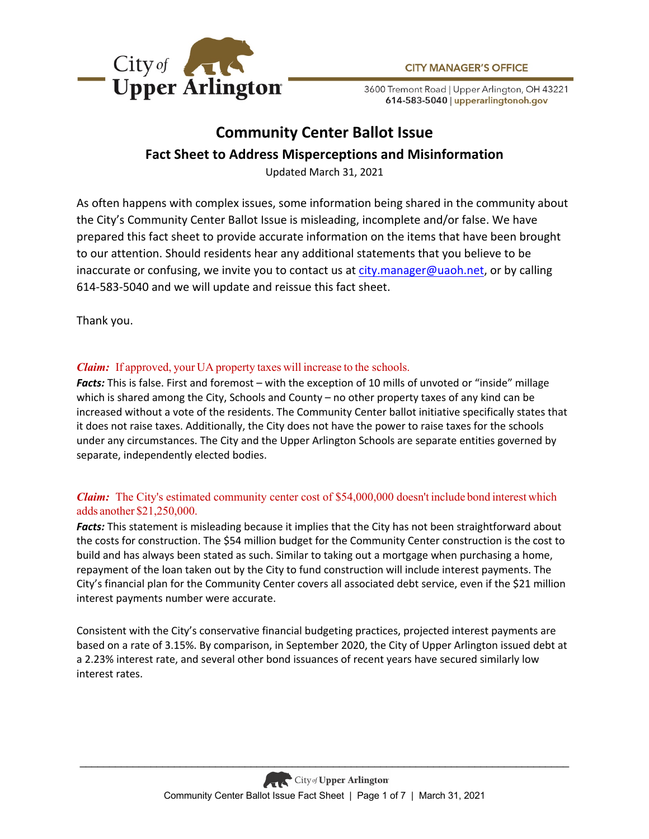

3600 Tremont Road | Upper Arlington, OH 43221 614-583-5040 | upperarlingtonoh.gov

# **Community Center Ballot Issue Fact Sheet to Address Misperceptions and Misinformation**

Updated March 31, 2021

As often happens with complex issues, some information being shared in the community about the City's Community Center Ballot Issue is misleading, incomplete and/or false. We have prepared this fact sheet to provide accurate information on the items that have been brought to our attention. Should residents hear any additional statements that you believe to be inaccurate or confusing, we invite you to contact us at  $city$  manager@uaoh.net, or by calling 614-583-5040 and we will update and reissue this fact sheet.

Thank you.

# *Claim:* If approved, your UA property taxes will increase to the schools.

*Facts:* This is false. First and foremost – with the exception of 10 mills of unvoted or "inside" millage which is shared among the City, Schools and County – no other property taxes of any kind can be increased without a vote of the residents. The Community Center ballot initiative specifically states that it does not raise taxes. Additionally, the City does not have the power to raise taxes for the schools under any circumstances. The City and the Upper Arlington Schools are separate entities governed by separate, independently elected bodies.

# *Claim:*The City's estimated community center cost of \$54,000,000 doesn't include bond interest which adds another \$21,250,000.

*Facts:* This statement is misleading because it implies that the City has not been straightforward about the costs for construction. The \$54 million budget for the Community Center construction is the cost to build and has always been stated as such. Similar to taking out a mortgage when purchasing a home, repayment of the loan taken out by the City to fund construction will include interest payments. The City's financial plan for the Community Center covers all associated debt service, even if the \$21 million interest payments number were accurate.

Consistent with the City's conservative financial budgeting practices, projected interest payments are based on a rate of 3.15%. By comparison, in September 2020, the City of Upper Arlington issued debt at a 2.23% interest rate, and several other bond issuances of recent years have secured similarly low interest rates.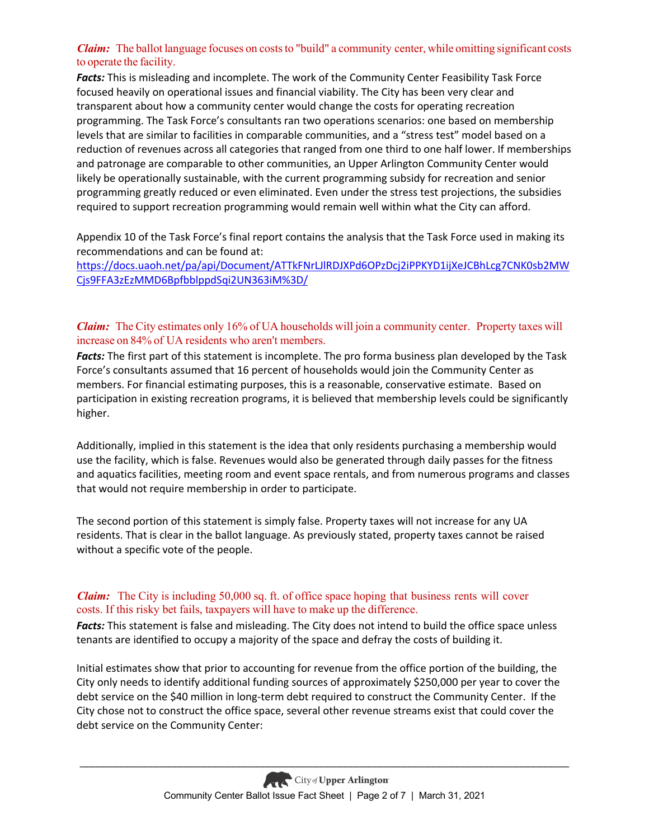## *Claim:*The ballot language focuses on coststo "build" a community center, while omitting significant costs to operate the facility.

*Facts:* This is misleading and incomplete. The work of the Community Center Feasibility Task Force focused heavily on operational issues and financial viability. The City has been very clear and transparent about how a community center would change the costs for operating recreation programming. The Task Force's consultants ran two operations scenarios: one based on membership levels that are similar to facilities in comparable communities, and a "stress test" model based on a reduction of revenues across all categories that ranged from one third to one half lower. If memberships and patronage are comparable to other communities, an Upper Arlington Community Center would likely be operationally sustainable, with the current programming subsidy for recreation and senior programming greatly reduced or even eliminated. Even under the stress test projections, the subsidies required to support recreation programming would remain well within what the City can afford.

Appendix 10 of the Task Force's final report contains the analysis that the Task Force used in making its recommendations and can be found at:

https://docs.uaoh.net/pa/api/Document/ATTkFNrLJlRDJXPd6OPzDcj2iPPKYD1ijXeJCBhLcg7CNK0sb2MW Cjs9FFA3zEzMMD6BpfbblppdSqi2UN363iM%3D/

## *Claim:*The City estimates only 16% of UA households will join a community center. Property taxes will increase on 84% of UA residents who aren't members.

*Facts:* The first part of this statement is incomplete. The pro forma business plan developed by the Task Force's consultants assumed that 16 percent of households would join the Community Center as members. For financial estimating purposes, this is a reasonable, conservative estimate. Based on participation in existing recreation programs, it is believed that membership levels could be significantly higher.

Additionally, implied in this statement is the idea that only residents purchasing a membership would use the facility, which is false. Revenues would also be generated through daily passes for the fitness and aquatics facilities, meeting room and event space rentals, and from numerous programs and classes that would not require membership in order to participate.

The second portion of this statement is simply false. Property taxes will not increase for any UA residents. That is clear in the ballot language. As previously stated, property taxes cannot be raised without a specific vote of the people.

### *Claim:* The City is including 50,000 sq. ft. of office space hoping that business rents will cover costs. If this risky bet fails, taxpayers will have to make up the difference.

*Facts:* This statement is false and misleading. The City does not intend to build the office space unless tenants are identified to occupy a majority of the space and defray the costs of building it.

Initial estimates show that prior to accounting for revenue from the office portion of the building, the City only needs to identify additional funding sources of approximately \$250,000 per year to cover the debt service on the \$40 million in long-term debt required to construct the Community Center. If the City chose not to construct the office space, several other revenue streams exist that could cover the debt service on the Community Center: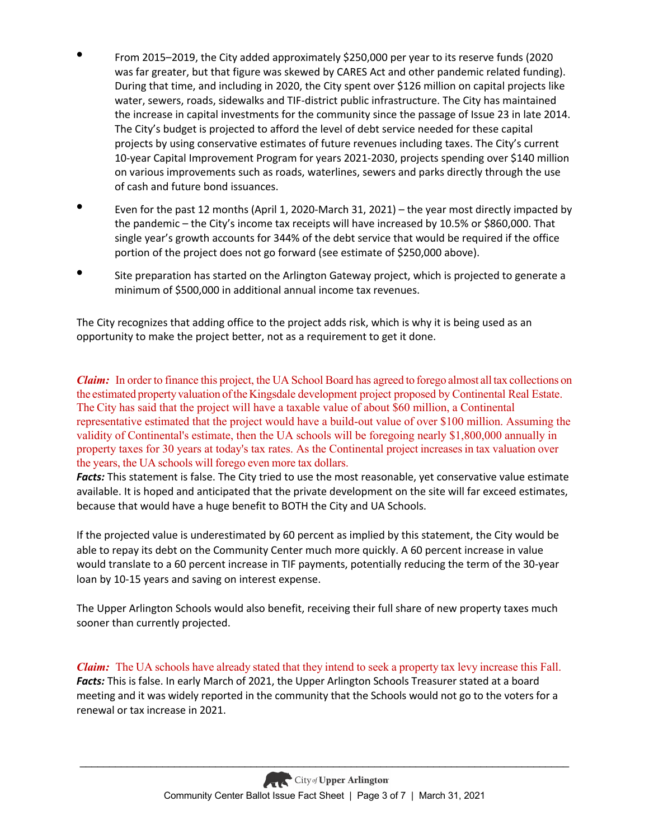- From 2015–2019, the City added approximately \$250,000 per year to its reserve funds (2020 was far greater, but that figure was skewed by CARES Act and other pandemic related funding). During that time, and including in 2020, the City spent over \$126 million on capital projects like water, sewers, roads, sidewalks and TIF-district public infrastructure. The City has maintained the increase in capital investments for the community since the passage of Issue 23 in late 2014. The City's budget is projected to afford the level of debt service needed for these capital projects by using conservative estimates of future revenues including taxes. The City's current 10-year Capital Improvement Program for years 2021-2030, projects spending over \$140 million on various improvements such as roads, waterlines, sewers and parks directly through the use of cash and future bond issuances.
- Even for the past 12 months (April 1, 2020-March 31, 2021) the year most directly impacted by the pandemic – the City's income tax receipts will have increased by 10.5% or \$860,000. That single year's growth accounts for 344% of the debt service that would be required if the office portion of the project does not go forward (see estimate of \$250,000 above).
- Site preparation has started on the Arlington Gateway project, which is projected to generate a minimum of \$500,000 in additional annual income tax revenues.

The City recognizes that adding office to the project adds risk, which is why it is being used as an opportunity to make the project better, not as a requirement to get it done.

*Claim:*In order to finance this project, the UA School Board has agreed to forego almost all tax collections on the estimated propertyvaluation oftheKingsdale development project proposed by Continental Real Estate. The City has said that the project will have a taxable value of about \$60 million, a Continental representative estimated that the project would have a build-out value of over \$100 million. Assuming the validity of Continental's estimate, then the UA schools will be foregoing nearly \$1,800,000 annually in property taxes for 30 years at today's tax rates. As the Continental project increases in tax valuation over the years, the UA schools will forego even more tax dollars.

*Facts:* This statement is false. The City tried to use the most reasonable, yet conservative value estimate available. It is hoped and anticipated that the private development on the site will far exceed estimates, because that would have a huge benefit to BOTH the City and UA Schools.

If the projected value is underestimated by 60 percent as implied by this statement, the City would be able to repay its debt on the Community Center much more quickly. A 60 percent increase in value would translate to a 60 percent increase in TIF payments, potentially reducing the term of the 30-year loan by 10-15 years and saving on interest expense.

The Upper Arlington Schools would also benefit, receiving their full share of new property taxes much sooner than currently projected.

*Claim:*The UA schools have already stated that they intend to seek a property tax levy increase this Fall. *Facts:* This is false. In early March of 2021, the Upper Arlington Schools Treasurer stated at a board meeting and it was widely reported in the community that the Schools would not go to the voters for a renewal or tax increase in 2021.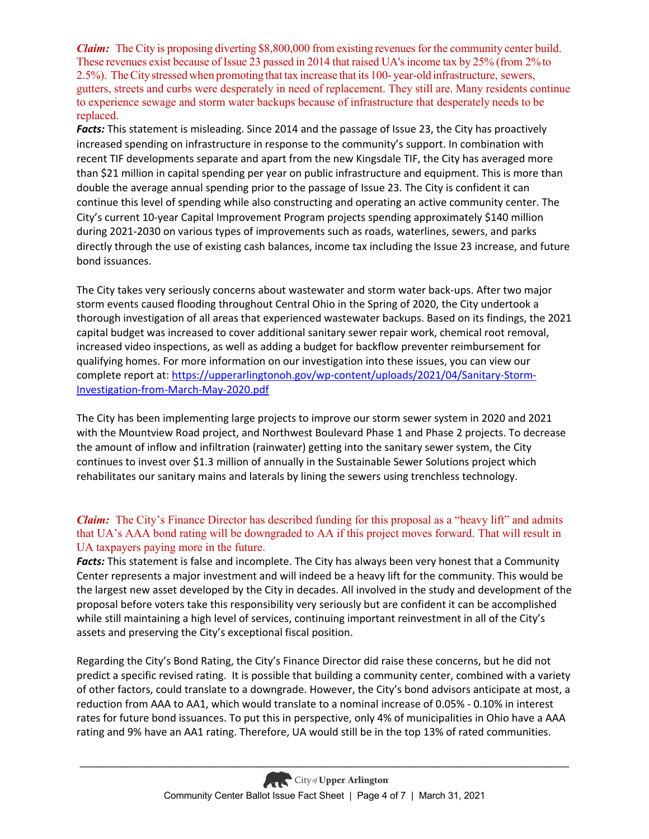*Claim:*The City is proposing diverting \$8,800,000 from existing revenues for the community center build. These revenues exist because of Issue 23 passed in 2014 that raised UA'sincome tax by 25% (from 2%to 2.5%). TheCitystressed when promoting that tax increase that its 100- year-old infrastructure, sewers, gutters, streets and curbs were desperately in need of replacement. They still are. Many residents continue to experience sewage and storm water backups because of infrastructure that desperately needs to be replaced.

*Facts:* This statement is misleading. Since 2014 and the passage of Issue 23, the City has proactively increased spending on infrastructure in response to the community's support. In combination with recent TIF developments separate and apart from the new Kingsdale TIF, the City has averaged more than \$21 million in capital spending per year on public infrastructure and equipment. This is more than double the average annual spending prior to the passage of Issue 23. The City is confident it can continue this level of spending while also constructing and operating an active community center. The City's current 10-year Capital Improvement Program projects spending approximately \$140 million during 2021-2030 on various types of improvements such as roads, waterlines, sewers, and parks directly through the use of existing cash balances, income tax including the Issue 23 increase, and future bond issuances.

The City takes very seriously concerns about wastewater and storm water back-ups. After two major storm events caused flooding throughout Central Ohio in the Spring of 2020, the City undertook a thorough investigation of all areas that experienced wastewater backups. Based on its findings, the 2021 capital budget was increased to cover additional sanitary sewer repair work, chemical root removal, increased video inspections, as well as adding a budget for backflow preventer reimbursement for qualifying homes. For more information on our investigation into these issues, you can view our complete report at: https://upperarlingtonoh.gov/wp-content/uploads/2021/04/Sanitary-Storm-Investigation-from-March-May-2020.pdf

The City has been implementing large projects to improve our storm sewer system in 2020 and 2021 with the Mountview Road project, and Northwest Boulevard Phase 1 and Phase 2 projects. To decrease the amount of inflow and infiltration (rainwater) getting into the sanitary sewer system, the City continues to invest over \$1.3 million of annually in the Sustainable Sewer Solutions project which rehabilitates our sanitary mains and laterals by lining the sewers using trenchless technology.

# *Claim:*The City's Finance Director has described funding for this proposal as a "heavy lift" and admits that UA's AAA bond rating will be downgraded to AA if this project moves forward. That will result in UA taxpayers paying more in the future.

*Facts:* This statement is false and incomplete. The City has always been very honest that a Community Center represents a major investment and will indeed be a heavy lift for the community. This would be the largest new asset developed by the City in decades. All involved in the study and development of the proposal before voters take this responsibility very seriously but are confident it can be accomplished while still maintaining a high level of services, continuing important reinvestment in all of the City's assets and preserving the City's exceptional fiscal position.

Regarding the City's Bond Rating, the City's Finance Director did raise these concerns, but he did not predict a specific revised rating. It is possible that building a community center, combined with a variety of other factors, could translate to a downgrade. However, the City's bond advisors anticipate at most, a reduction from AAA to AA1, which would translate to a nominal increase of 0.05% - 0.10% in interest rates for future bond issuances. To put this in perspective, only 4% of municipalities in Ohio have a AAA rating and 9% have an AA1 rating. Therefore, UA would still be in the top 13% of rated communities.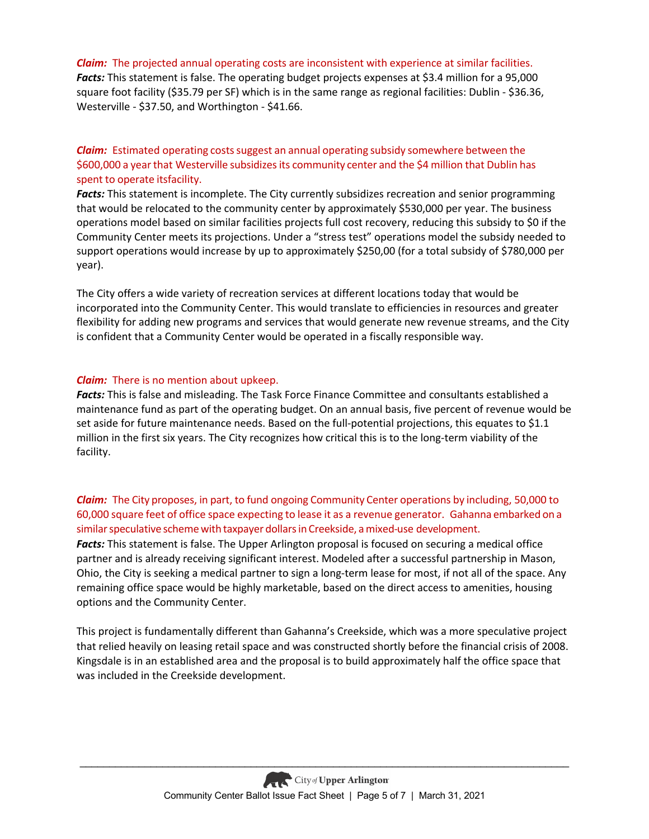#### *Claim:*The projected annual operating costs are inconsistent with experience at similar facilities.

*Facts:* This statement is false. The operating budget projects expenses at \$3.4 million for a 95,000 square foot facility (\$35.79 per SF) which is in the same range as regional facilities: Dublin - \$36.36, Westerville - \$37.50, and Worthington - \$41.66.

## *Claim:*Estimated operating costssuggest an annual operating subsidy somewhere between the \$600,000 a yearthat Westerville subsidizesits community center and the \$4 million that Dublin has spent to operate itsfacility.

*Facts:* This statement is incomplete. The City currently subsidizes recreation and senior programming that would be relocated to the community center by approximately \$530,000 per year. The business operations model based on similar facilities projects full cost recovery, reducing this subsidy to \$0 if the Community Center meets its projections. Under a "stress test" operations model the subsidy needed to support operations would increase by up to approximately \$250,00 (for a total subsidy of \$780,000 per year).

The City offers a wide variety of recreation services at different locations today that would be incorporated into the Community Center. This would translate to efficiencies in resources and greater flexibility for adding new programs and services that would generate new revenue streams, and the City is confident that a Community Center would be operated in a fiscally responsible way.

#### *Claim:*There is no mention about upkeep.

*Facts:* This is false and misleading. The Task Force Finance Committee and consultants established a maintenance fund as part of the operating budget. On an annual basis, five percent of revenue would be set aside for future maintenance needs. Based on the full-potential projections, this equates to \$1.1 million in the first six years. The City recognizes how critical this is to the long-term viability of the facility.

### *Claim:*The City proposes, in part, to fund ongoing Community Center operations by including, 50,000 to 60,000 square feet of office space expecting to lease it as a revenue generator. Gahanna embarked on a similar speculative scheme with taxpayer dollars in Creekside, a mixed-use development.

*Facts:* This statement is false. The Upper Arlington proposal is focused on securing a medical office partner and is already receiving significant interest. Modeled after a successful partnership in Mason, Ohio, the City is seeking a medical partner to sign a long-term lease for most, if not all of the space. Any remaining office space would be highly marketable, based on the direct access to amenities, housing options and the Community Center.

This project is fundamentally different than Gahanna's Creekside, which was a more speculative project that relied heavily on leasing retail space and was constructed shortly before the financial crisis of 2008. Kingsdale is in an established area and the proposal is to build approximately half the office space that was included in the Creekside development.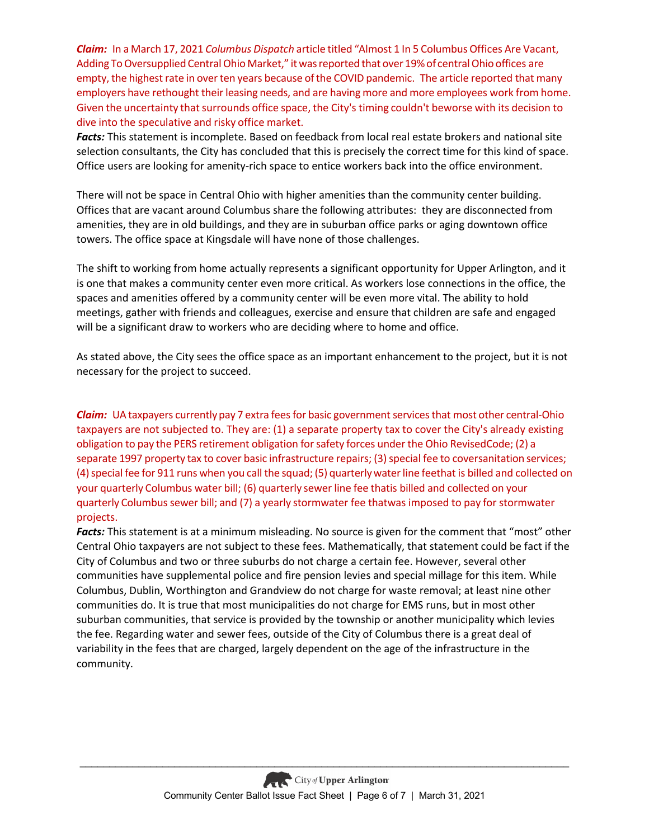*Claim:*In a March 17, 2021 *Columbus Dispatch* article titled "Almost 1 In 5 Columbus Offices Are Vacant, Adding To Oversupplied Central Ohio Market," it was reported that over 19% of central Ohio offices are empty, the highest rate in over ten years because of the COVID pandemic. The article reported that many employers have rethought their leasing needs, and are having more and more employees work from home. Given the uncertainty that surrounds office space, the City's timing couldn't beworse with its decision to dive into the speculative and risky office market.

*Facts:* This statement is incomplete. Based on feedback from local real estate brokers and national site selection consultants, the City has concluded that this is precisely the correct time for this kind of space. Office users are looking for amenity-rich space to entice workers back into the office environment.

There will not be space in Central Ohio with higher amenities than the community center building. Offices that are vacant around Columbus share the following attributes: they are disconnected from amenities, they are in old buildings, and they are in suburban office parks or aging downtown office towers. The office space at Kingsdale will have none of those challenges.

The shift to working from home actually represents a significant opportunity for Upper Arlington, and it is one that makes a community center even more critical. As workers lose connections in the office, the spaces and amenities offered by a community center will be even more vital. The ability to hold meetings, gather with friends and colleagues, exercise and ensure that children are safe and engaged will be a significant draw to workers who are deciding where to home and office.

As stated above, the City sees the office space as an important enhancement to the project, but it is not necessary for the project to succeed.

*Claim:* UA taxpayers currently pay 7 extra fees for basic government services that most other central-Ohio taxpayers are not subjected to. They are: (1) a separate property tax to cover the City's already existing obligation to pay the PERS retirement obligation forsafety forces under the Ohio RevisedCode; (2) a separate 1997 property tax to cover basic infrastructure repairs; (3) special fee to coversanitation services; (4) special fee for 911 runs when you call the squad; (5) quarterly water line feethat is billed and collected on your quarterly Columbus water bill; (6) quarterly sewer line fee thatis billed and collected on your quarterly Columbus sewer bill; and (7) a yearly stormwater fee thatwas imposed to pay for stormwater projects.

*Facts:* This statement is at a minimum misleading. No source is given for the comment that "most" other Central Ohio taxpayers are not subject to these fees. Mathematically, that statement could be fact if the City of Columbus and two or three suburbs do not charge a certain fee. However, several other communities have supplemental police and fire pension levies and special millage for this item. While Columbus, Dublin, Worthington and Grandview do not charge for waste removal; at least nine other communities do. It is true that most municipalities do not charge for EMS runs, but in most other suburban communities, that service is provided by the township or another municipality which levies the fee. Regarding water and sewer fees, outside of the City of Columbus there is a great deal of variability in the fees that are charged, largely dependent on the age of the infrastructure in the community.